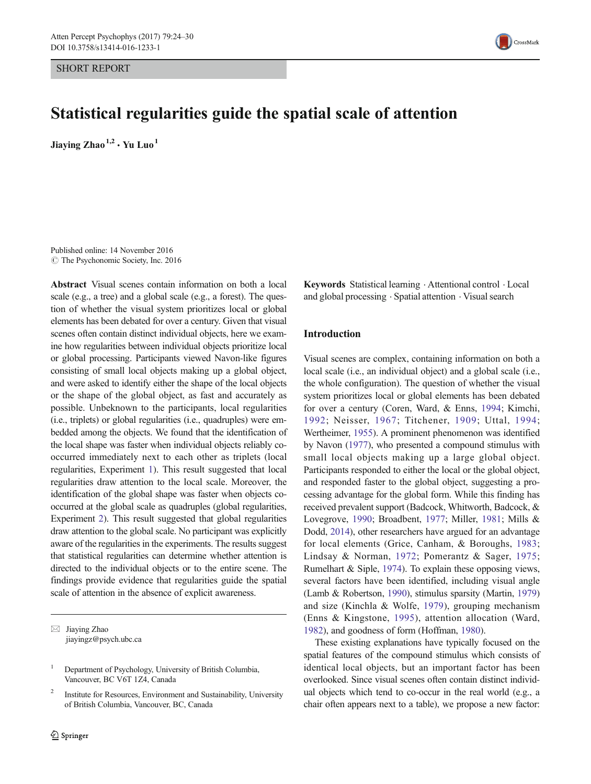SHORT REPORT



# Statistical regularities guide the spatial scale of attention

Jiaving  $Zhao<sup>1,2</sup> \cdot Yu Luo<sup>1</sup>$ 

Published online: 14 November 2016 C The Psychonomic Society, Inc. 2016

Abstract Visual scenes contain information on both a local scale (e.g., a tree) and a global scale (e.g., a forest). The question of whether the visual system prioritizes local or global elements has been debated for over a century. Given that visual scenes often contain distinct individual objects, here we examine how regularities between individual objects prioritize local or global processing. Participants viewed Navon-like figures consisting of small local objects making up a global object, and were asked to identify either the shape of the local objects or the shape of the global object, as fast and accurately as possible. Unbeknown to the participants, local regularities (i.e., triplets) or global regularities (i.e., quadruples) were embedded among the objects. We found that the identification of the local shape was faster when individual objects reliably cooccurred immediately next to each other as triplets (local regularities, Experiment [1](#page-1-0)). This result suggested that local regularities draw attention to the local scale. Moreover, the identification of the global shape was faster when objects cooccurred at the global scale as quadruples (global regularities, Experiment [2](#page-3-0)). This result suggested that global regularities draw attention to the global scale. No participant was explicitly aware of the regularities in the experiments. The results suggest that statistical regularities can determine whether attention is directed to the individual objects or to the entire scene. The findings provide evidence that regularities guide the spatial scale of attention in the absence of explicit awareness.

 $\boxtimes$  Jiaying Zhao jiayingz@psych.ubc.ca Keywords Statistical learning . Attentional control . Local and global processing . Spatial attention . Visual search

### Introduction

Visual scenes are complex, containing information on both a local scale (i.e., an individual object) and a global scale (i.e., the whole configuration). The question of whether the visual system prioritizes local or global elements has been debated for over a century (Coren, Ward, & Enns, [1994](#page-5-0); Kimchi, [1992;](#page-5-0) Neisser, [1967](#page-5-0); Titchener, [1909;](#page-5-0) Uttal, [1994;](#page-5-0) Wertheimer, [1955\)](#page-6-0). A prominent phenomenon was identified by Navon [\(1977\)](#page-5-0), who presented a compound stimulus with small local objects making up a large global object. Participants responded to either the local or the global object, and responded faster to the global object, suggesting a processing advantage for the global form. While this finding has received prevalent support (Badcock, Whitworth, Badcock, & Lovegrove, [1990](#page-5-0); Broadbent, [1977;](#page-5-0) Miller, [1981;](#page-5-0) Mills & Dodd, [2014\)](#page-5-0), other researchers have argued for an advantage for local elements (Grice, Canham, & Boroughs, [1983;](#page-5-0) Lindsay & Norman, [1972;](#page-5-0) Pomerantz & Sager, [1975;](#page-5-0) Rumelhart & Siple, [1974\)](#page-5-0). To explain these opposing views, several factors have been identified, including visual angle (Lamb & Robertson, [1990](#page-5-0)), stimulus sparsity (Martin, [1979\)](#page-5-0) and size (Kinchla & Wolfe, [1979](#page-5-0)), grouping mechanism (Enns & Kingstone, [1995](#page-5-0)), attention allocation (Ward, [1982\)](#page-6-0), and goodness of form (Hoffman, [1980](#page-5-0)).

These existing explanations have typically focused on the spatial features of the compound stimulus which consists of identical local objects, but an important factor has been overlooked. Since visual scenes often contain distinct individual objects which tend to co-occur in the real world (e.g., a chair often appears next to a table), we propose a new factor:

<sup>&</sup>lt;sup>1</sup> Department of Psychology, University of British Columbia, Vancouver, BC V6T 1Z4, Canada

<sup>&</sup>lt;sup>2</sup> Institute for Resources, Environment and Sustainability, University of British Columbia, Vancouver, BC, Canada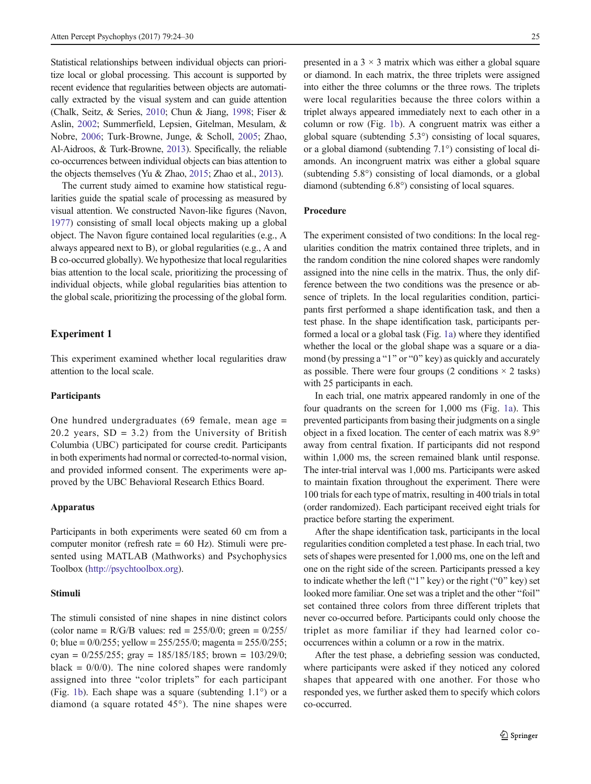<span id="page-1-0"></span>Statistical relationships between individual objects can prioritize local or global processing. This account is supported by recent evidence that regularities between objects are automatically extracted by the visual system and can guide attention (Chalk, Seitz, & Series, [2010](#page-5-0); Chun & Jiang, [1998](#page-5-0); Fiser & Aslin, [2002;](#page-5-0) Summerfield, Lepsien, Gitelman, Mesulam, & Nobre, [2006;](#page-5-0) Turk-Browne, Junge, & Scholl, [2005;](#page-5-0) Zhao, Al-Aidroos, & Turk-Browne, [2013](#page-6-0)). Specifically, the reliable co-occurrences between individual objects can bias attention to the objects themselves (Yu & Zhao, [2015](#page-6-0); Zhao et al., [2013](#page-6-0)).

The current study aimed to examine how statistical regularities guide the spatial scale of processing as measured by visual attention. We constructed Navon-like figures (Navon, [1977\)](#page-5-0) consisting of small local objects making up a global object. The Navon figure contained local regularities (e.g., A always appeared next to B), or global regularities (e.g., A and B co-occurred globally). We hypothesize that local regularities bias attention to the local scale, prioritizing the processing of individual objects, while global regularities bias attention to the global scale, prioritizing the processing of the global form.

# Experiment 1

This experiment examined whether local regularities draw attention to the local scale.

# **Participants**

One hundred undergraduates (69 female, mean age = 20.2 years,  $SD = 3.2$ ) from the University of British Columbia (UBC) participated for course credit. Participants in both experiments had normal or corrected-to-normal vision, and provided informed consent. The experiments were approved by the UBC Behavioral Research Ethics Board.

#### Apparatus

Participants in both experiments were seated 60 cm from a computer monitor (refresh rate = 60 Hz). Stimuli were presented using MATLAB (Mathworks) and Psychophysics Toolbox [\(http://psychtoolbox.org\)](http://psychtoolbox.org/).

#### Stimuli

The stimuli consisted of nine shapes in nine distinct colors (color name =  $R/G/B$  values: red =  $255/0/0$ ; green =  $0/255/0$ 0; blue =  $0/0/255$ ; yellow =  $255/255/0$ ; magenta =  $255/0/255$ ; cyan =  $0/255/255$ ; gray =  $185/185/185$ ; brown =  $103/29/0$ ; black =  $0/0/0$ ). The nine colored shapes were randomly assigned into three "color triplets" for each participant (Fig. [1b\)](#page-2-0). Each shape was a square (subtending 1.1°) or a diamond (a square rotated 45°). The nine shapes were presented in a  $3 \times 3$  matrix which was either a global square or diamond. In each matrix, the three triplets were assigned into either the three columns or the three rows. The triplets were local regularities because the three colors within a triplet always appeared immediately next to each other in a column or row (Fig. [1b\)](#page-2-0). A congruent matrix was either a global square (subtending 5.3°) consisting of local squares, or a global diamond (subtending 7.1°) consisting of local diamonds. An incongruent matrix was either a global square (subtending 5.8°) consisting of local diamonds, or a global diamond (subtending 6.8°) consisting of local squares.

## Procedure

The experiment consisted of two conditions: In the local regularities condition the matrix contained three triplets, and in the random condition the nine colored shapes were randomly assigned into the nine cells in the matrix. Thus, the only difference between the two conditions was the presence or absence of triplets. In the local regularities condition, participants first performed a shape identification task, and then a test phase. In the shape identification task, participants performed a local or a global task (Fig. [1a](#page-2-0)) where they identified whether the local or the global shape was a square or a diamond (by pressing a " $1$ " or " $0$ " key) as quickly and accurately as possible. There were four groups (2 conditions  $\times$  2 tasks) with 25 participants in each.

In each trial, one matrix appeared randomly in one of the four quadrants on the screen for 1,000 ms (Fig. [1a](#page-2-0)). This prevented participants from basing their judgments on a single object in a fixed location. The center of each matrix was 8.9° away from central fixation. If participants did not respond within 1,000 ms, the screen remained blank until response. The inter-trial interval was 1,000 ms. Participants were asked to maintain fixation throughout the experiment. There were 100 trials for each type of matrix, resulting in 400 trials in total (order randomized). Each participant received eight trials for practice before starting the experiment.

After the shape identification task, participants in the local regularities condition completed a test phase. In each trial, two sets of shapes were presented for 1,000 ms, one on the left and one on the right side of the screen. Participants pressed a key to indicate whether the left ("1" key) or the right ("0" key) set looked more familiar. One set was a triplet and the other "foil" set contained three colors from three different triplets that never co-occurred before. Participants could only choose the triplet as more familiar if they had learned color cooccurrences within a column or a row in the matrix.

After the test phase, a debriefing session was conducted, where participants were asked if they noticed any colored shapes that appeared with one another. For those who responded yes, we further asked them to specify which colors co-occurred.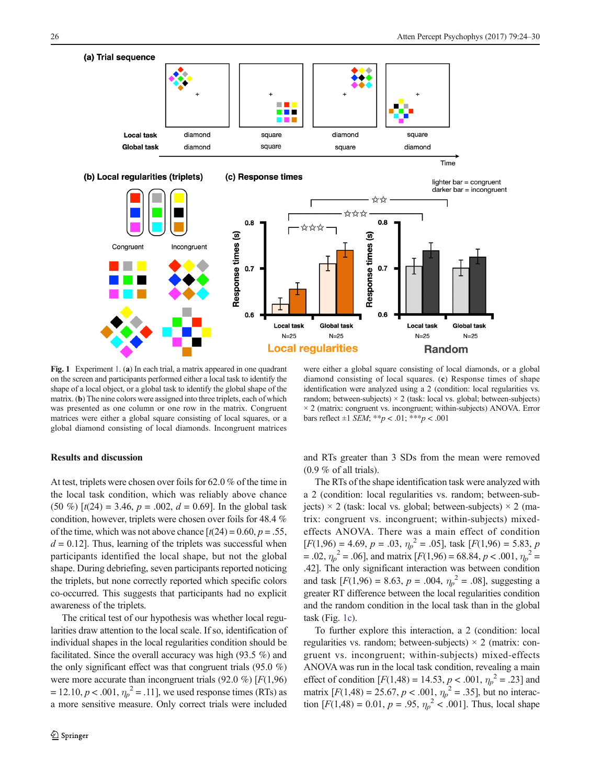<span id="page-2-0"></span>

Local task

 $N=25$ 

**Global task** 

 $N=25$ 

**Local regularities** 

Fig. 1 Experiment [1](#page-1-0). (a) In each trial, a matrix appeared in one quadrant on the screen and participants performed either a local task to identify the shape of a local object, or a global task to identify the global shape of the matrix. (b) The nine colors were assigned into three triplets, each of which was presented as one column or one row in the matrix. Congruent matrices were either a global square consisting of local squares, or a global diamond consisting of local diamonds. Incongruent matrices

were either a global square consisting of local diamonds, or a global diamond consisting of local squares. (c) Response times of shape identification were analyzed using a 2 (condition: local regularities vs. random; between-subjects)  $\times$  2 (task: local vs. global; between-subjects)  $\times$  2 (matrix: congruent vs. incongruent; within-subjects) ANOVA. Error bars reflect  $\pm 1$  *SEM*; \*\**p* < .01; \*\*\**p* < .001

**Local task** 

 $N=25$ 

**Global task** 

 $N=25$ 

**Random** 

# Results and discussion

At test, triplets were chosen over foils for 62.0 % of the time in the local task condition, which was reliably above chance (50 %)  $[t(24) = 3.46, p = .002, d = 0.69]$ . In the global task condition, however, triplets were chosen over foils for 48.4 % of the time, which was not above chance  $[t(24) = 0.60, p = .55,$  $d = 0.12$ . Thus, learning of the triplets was successful when participants identified the local shape, but not the global shape. During debriefing, seven participants reported noticing the triplets, but none correctly reported which specific colors co-occurred. This suggests that participants had no explicit awareness of the triplets.

The critical test of our hypothesis was whether local regularities draw attention to the local scale. If so, identification of individual shapes in the local regularities condition should be facilitated. Since the overall accuracy was high (93.5 %) and the only significant effect was that congruent trials (95.0 %) were more accurate than incongruent trials  $(92.0 \%) [F(1,96)]$  $= 12.10, p < .001, \eta_p^2 = .11$ ], we used response times (RTs) as a more sensitive measure. Only correct trials were included

and RTs greater than 3 SDs from the mean were removed (0.9 % of all trials).

The RTs of the shape identification task were analyzed with a 2 (condition: local regularities vs. random; between-subjects)  $\times$  2 (task: local vs. global; between-subjects)  $\times$  2 (matrix: congruent vs. incongruent; within-subjects) mixedeffects ANOVA. There was a main effect of condition  $[F(1,96) = 4.69, p = .03, \eta_p^2 = .05]$ , task  $[F(1,96) = 5.83, p$  $= .02, \eta_p^2 = .06$ ], and matrix [ $F(1,96) = 68.84, p < .001, \eta_p^2 =$ .42]. The only significant interaction was between condition and task  $[F(1,96) = 8.63, p = .004, \eta_p^2 = .08]$ , suggesting a greater RT difference between the local regularities condition and the random condition in the local task than in the global task (Fig.  $1c$ ).

To further explore this interaction, a 2 (condition: local regularities vs. random; between-subjects)  $\times$  2 (matrix: congruent vs. incongruent; within-subjects) mixed-effects ANOVA was run in the local task condition, revealing a main effect of condition  $[F(1,48) = 14.53, p < .001, \eta_p^2 = .23]$  and matrix  $[F(1,48) = 25.67, p < .001, \eta_p^2 = .35]$ , but no interaction  $[F(1,48) = 0.01, p = .95, \eta_p^2 < .001]$ . Thus, local shape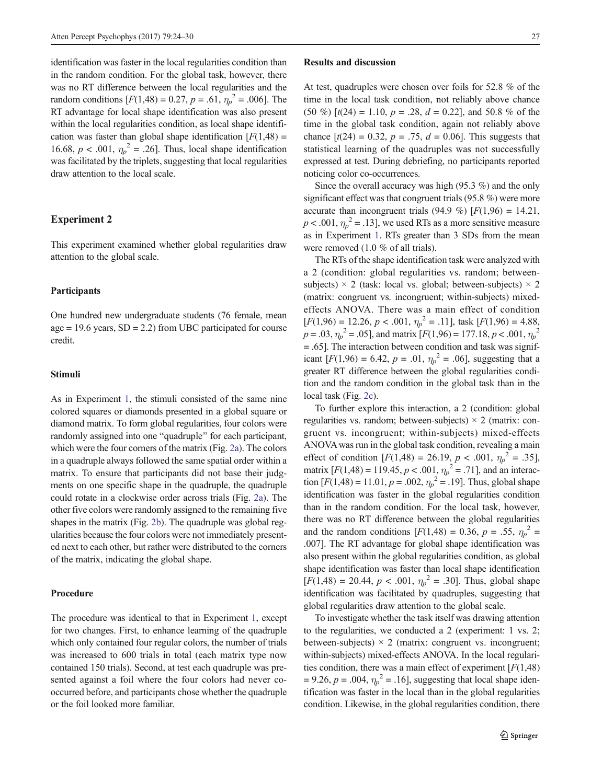<span id="page-3-0"></span>identification was faster in the local regularities condition than in the random condition. For the global task, however, there was no RT difference between the local regularities and the random conditions  $[F(1,48) = 0.27, p = .61, \eta_p^2 = .006]$ . The RT advantage for local shape identification was also present within the local regularities condition, as local shape identification was faster than global shape identification  $[F(1,48) =$ 16.68,  $p < .001$ ,  $\eta_p^2 = .26$ ]. Thus, local shape identification was facilitated by the triplets, suggesting that local regularities draw attention to the local scale.

#### Experiment 2

This experiment examined whether global regularities draw attention to the global scale.

# Participants

One hundred new undergraduate students (76 female, mean  $age = 19.6 \text{ years}, SD = 2.2)$  from UBC participated for course credit.

#### Stimuli

As in Experiment [1](#page-1-0), the stimuli consisted of the same nine colored squares or diamonds presented in a global square or diamond matrix. To form global regularities, four colors were randomly assigned into one "quadruple" for each participant, which were the four corners of the matrix (Fig. [2a\)](#page-4-0). The colors in a quadruple always followed the same spatial order within a matrix. To ensure that participants did not base their judgments on one specific shape in the quadruple, the quadruple could rotate in a clockwise order across trials (Fig. [2a](#page-4-0)). The other five colors were randomly assigned to the remaining five shapes in the matrix (Fig. [2b](#page-4-0)). The quadruple was global regularities because the four colors were not immediately presented next to each other, but rather were distributed to the corners of the matrix, indicating the global shape.

#### Procedure

The procedure was identical to that in Experiment [1](#page-1-0), except for two changes. First, to enhance learning of the quadruple which only contained four regular colors, the number of trials was increased to 600 trials in total (each matrix type now contained 150 trials). Second, at test each quadruple was presented against a foil where the four colors had never cooccurred before, and participants chose whether the quadruple or the foil looked more familiar.

#### Results and discussion

At test, quadruples were chosen over foils for 52.8 % of the time in the local task condition, not reliably above chance (50 %)  $[t(24) = 1.10, p = .28, d = 0.22]$ , and 50.8 % of the time in the global task condition, again not reliably above chance  $[t(24) = 0.32, p = .75, d = 0.06]$ . This suggests that statistical learning of the quadruples was not successfully expressed at test. During debriefing, no participants reported noticing color co-occurrences.

Since the overall accuracy was high (95.3 %) and the only significant effect was that congruent trials (95.8 %) were more accurate than incongruent trials (94.9 %)  $[F(1,96) = 14.21]$ ,  $p < .001$ ,  $\eta_p^2 = .13$ ], we used RTs as a more sensitive measure as in Experiment [1](#page-1-0). RTs greater than 3 SDs from the mean were removed (1.0 % of all trials).

The RTs of the shape identification task were analyzed with a 2 (condition: global regularities vs. random; betweensubjects)  $\times$  2 (task: local vs. global; between-subjects)  $\times$  2 (matrix: congruent vs. incongruent; within-subjects) mixedeffects ANOVA. There was a main effect of condition  $[F(1,96) = 12.26, p < .001, \eta_p^2 = .11]$ , task  $[F(1,96) = 4.88$ ,  $p = .03$ ,  $\eta_p^2 = .05$ ], and matrix  $[F(1,96) = 177.18, p < .001, \eta_p^2$ = .65]. The interaction between condition and task was significant [ $F(1,96) = 6.42$ ,  $p = .01$ ,  $\eta_p^2 = .06$ ], suggesting that a greater RT difference between the global regularities condition and the random condition in the global task than in the local task (Fig. [2c\)](#page-4-0).

To further explore this interaction, a 2 (condition: global regularities vs. random; between-subjects)  $\times$  2 (matrix: congruent vs. incongruent; within-subjects) mixed-effects ANOVAwas run in the global task condition, revealing a main effect of condition  $[F(1,48) = 26.19, p < .001, \eta_p^2 = .35]$ , matrix  $[F(1,48) = 119.45, p < .001, \eta_p^2 = .71]$ , and an interaction  $[F(1,48) = 11.01, p = .002, \eta_p^2 = .19]$ . Thus, global shape identification was faster in the global regularities condition than in the random condition. For the local task, however, there was no RT difference between the global regularities and the random conditions  $[F(1,48) = 0.36, p = .55, \eta_p^2 =$ .007]. The RT advantage for global shape identification was also present within the global regularities condition, as global shape identification was faster than local shape identification  $[F(1,48) = 20.44, p < .001, \eta_p^2 = .30]$ . Thus, global shape identification was facilitated by quadruples, suggesting that global regularities draw attention to the global scale.

To investigate whether the task itself was drawing attention to the regularities, we conducted a 2 (experiment: 1 vs. 2; between-subjects)  $\times$  2 (matrix: congruent vs. incongruent; within-subjects) mixed-effects ANOVA. In the local regularities condition, there was a main effect of experiment  $[F(1,48)]$  $= 9.26, p = .004, \eta_p^2 = .16$ , suggesting that local shape identification was faster in the local than in the global regularities condition. Likewise, in the global regularities condition, there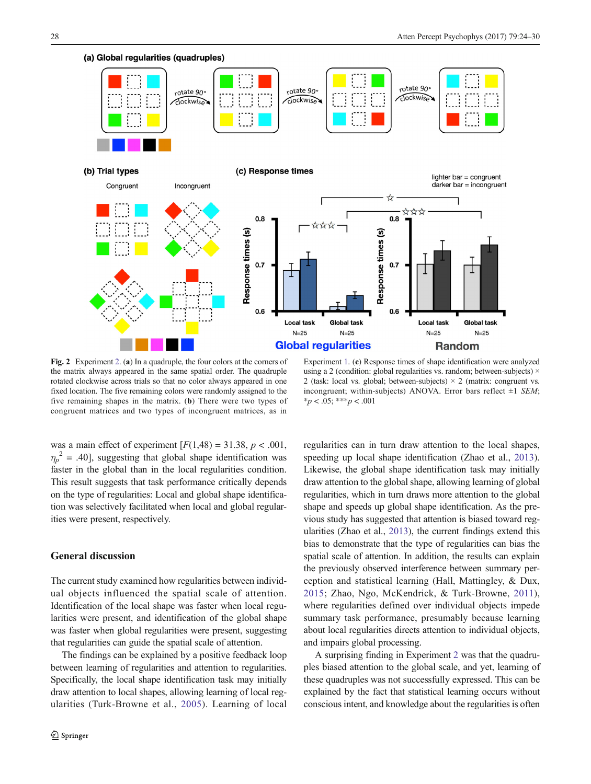<span id="page-4-0"></span>

Fig. 2 Experiment [2](#page-3-0). (a) In a quadruple, the four colors at the corners of the matrix always appeared in the same spatial order. The quadruple rotated clockwise across trials so that no color always appeared in one fixed location. The five remaining colors were randomly assigned to the five remaining shapes in the matrix. (b) There were two types of congruent matrices and two types of incongruent matrices, as in

Experiment [1.](#page-1-0) (c) Response times of shape identification were analyzed using a 2 (condition: global regularities vs. random; between-subjects) × 2 (task: local vs. global; between-subjects)  $\times$  2 (matrix: congruent vs. incongruent; within-subjects) ANOVA. Error bars reflect  $\pm 1$  SEM;  $*_{p}$  < .05; \*\*\*p < .001

was a main effect of experiment  $[F(1,48) = 31.38, p < .001,$  $\eta_p^2$  = .40], suggesting that global shape identification was faster in the global than in the local regularities condition. This result suggests that task performance critically depends on the type of regularities: Local and global shape identification was selectively facilitated when local and global regularities were present, respectively.

# General discussion

The current study examined how regularities between individual objects influenced the spatial scale of attention. Identification of the local shape was faster when local regularities were present, and identification of the global shape was faster when global regularities were present, suggesting that regularities can guide the spatial scale of attention.

The findings can be explained by a positive feedback loop between learning of regularities and attention to regularities. Specifically, the local shape identification task may initially draw attention to local shapes, allowing learning of local regularities (Turk-Browne et al., [2005\)](#page-5-0). Learning of local regularities can in turn draw attention to the local shapes, speeding up local shape identification (Zhao et al., [2013\)](#page-6-0). Likewise, the global shape identification task may initially draw attention to the global shape, allowing learning of global regularities, which in turn draws more attention to the global shape and speeds up global shape identification. As the previous study has suggested that attention is biased toward regularities (Zhao et al., [2013\)](#page-6-0), the current findings extend this bias to demonstrate that the type of regularities can bias the spatial scale of attention. In addition, the results can explain the previously observed interference between summary perception and statistical learning (Hall, Mattingley, & Dux, [2015;](#page-5-0) Zhao, Ngo, McKendrick, & Turk-Browne, [2011](#page-6-0)), where regularities defined over individual objects impede summary task performance, presumably because learning about local regularities directs attention to individual objects, and impairs global processing.

A surprising finding in Experiment [2](#page-3-0) was that the quadruples biased attention to the global scale, and yet, learning of these quadruples was not successfully expressed. This can be explained by the fact that statistical learning occurs without conscious intent, and knowledge about the regularities is often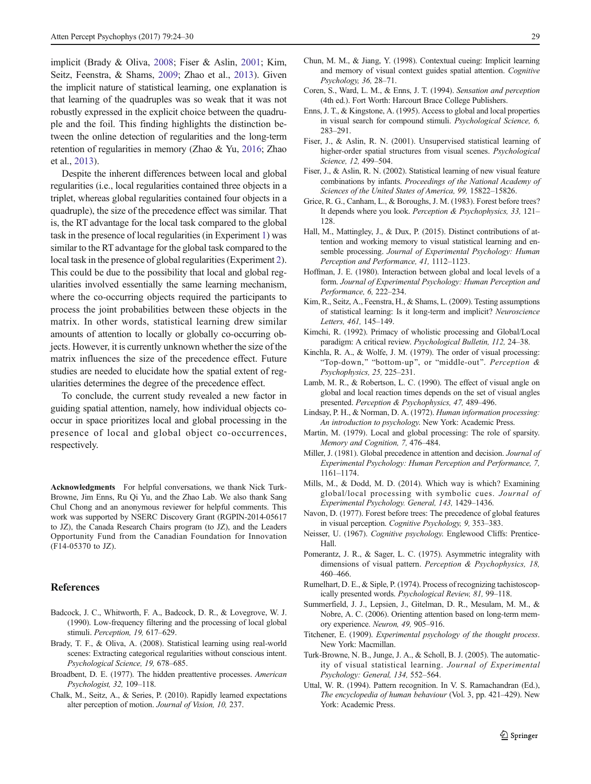<span id="page-5-0"></span>implicit (Brady & Oliva, 2008; Fiser & Aslin, 2001; Kim, Seitz, Feenstra, & Shams, 2009; Zhao et al., [2013\)](#page-6-0). Given the implicit nature of statistical learning, one explanation is that learning of the quadruples was so weak that it was not robustly expressed in the explicit choice between the quadruple and the foil. This finding highlights the distinction between the online detection of regularities and the long-term retention of regularities in memory (Zhao & Yu, [2016](#page-6-0); Zhao et al., [2013\)](#page-6-0).

Despite the inherent differences between local and global regularities (i.e., local regularities contained three objects in a triplet, whereas global regularities contained four objects in a quadruple), the size of the precedence effect was similar. That is, the RT advantage for the local task compared to the global task in the presence of local regularities (in Experiment [1\)](#page-1-0) was similar to the RT advantage for the global task compared to the local task in the presence of global regularities (Experiment [2\)](#page-3-0). This could be due to the possibility that local and global regularities involved essentially the same learning mechanism, where the co-occurring objects required the participants to process the joint probabilities between these objects in the matrix. In other words, statistical learning drew similar amounts of attention to locally or globally co-occurring objects. However, it is currently unknown whether the size of the matrix influences the size of the precedence effect. Future studies are needed to elucidate how the spatial extent of regularities determines the degree of the precedence effect.

To conclude, the current study revealed a new factor in guiding spatial attention, namely, how individual objects cooccur in space prioritizes local and global processing in the presence of local and global object co-occurrences, respectively.

Acknowledgments For helpful conversations, we thank Nick Turk-Browne, Jim Enns, Ru Qi Yu, and the Zhao Lab. We also thank Sang Chul Chong and an anonymous reviewer for helpful comments. This work was supported by NSERC Discovery Grant (RGPIN-2014-05617 to JZ), the Canada Research Chairs program (to JZ), and the Leaders Opportunity Fund from the Canadian Foundation for Innovation (F14-05370 to JZ).

# References

- Badcock, J. C., Whitworth, F. A., Badcock, D. R., & Lovegrove, W. J. (1990). Low-frequency filtering and the processing of local global stimuli. Perception, 19, 617–629.
- Brady, T. F., & Oliva, A. (2008). Statistical learning using real-world scenes: Extracting categorical regularities without conscious intent. Psychological Science, 19, 678–685.
- Broadbent, D. E. (1977). The hidden preattentive processes. American Psychologist, 32, 109–118.
- Chalk, M., Seitz, A., & Series, P. (2010). Rapidly learned expectations alter perception of motion. Journal of Vision, 10, 237.
- Chun, M. M., & Jiang, Y. (1998). Contextual cueing: Implicit learning and memory of visual context guides spatial attention. Cognitive Psychology, 36, 28–71.
- Coren, S., Ward, L. M., & Enns, J. T. (1994). Sensation and perception (4th ed.). Fort Worth: Harcourt Brace College Publishers.
- Enns, J. T., & Kingstone, A. (1995). Access to global and local properties in visual search for compound stimuli. Psychological Science, 6, 283–291.
- Fiser, J., & Aslin, R. N. (2001). Unsupervised statistical learning of higher-order spatial structures from visual scenes. Psychological Science, 12, 499–504.
- Fiser, J., & Aslin, R. N. (2002). Statistical learning of new visual feature combinations by infants. Proceedings of the National Academy of Sciences of the United States of America, 99, 15822–15826.
- Grice, R. G., Canham, L., & Boroughs, J. M. (1983). Forest before trees? It depends where you look. Perception & Psychophysics, 33, 121– 128.
- Hall, M., Mattingley, J., & Dux, P. (2015). Distinct contributions of attention and working memory to visual statistical learning and ensemble processing. Journal of Experimental Psychology: Human Perception and Performance, 41, 1112–1123.
- Hoffman, J. E. (1980). Interaction between global and local levels of a form. Journal of Experimental Psychology: Human Perception and Performance, 6, 222–234.
- Kim, R., Seitz, A., Feenstra, H., & Shams, L. (2009). Testing assumptions of statistical learning: Is it long-term and implicit? Neuroscience Letters, 461, 145–149.
- Kimchi, R. (1992). Primacy of wholistic processing and Global/Local paradigm: A critical review. Psychological Bulletin, 112, 24–38.
- Kinchla, R. A., & Wolfe, J. M. (1979). The order of visual processing: "Top-down," "bottom-up", or "middle-out". Perception & Psychophysics, 25, 225–231.
- Lamb, M. R., & Robertson, L. C. (1990). The effect of visual angle on global and local reaction times depends on the set of visual angles presented. Perception & Psychophysics, 47, 489–496.
- Lindsay, P. H., & Norman, D. A. (1972). Human information processing: An introduction to psychology. New York: Academic Press.
- Martin, M. (1979). Local and global processing: The role of sparsity. Memory and Cognition, 7, 476–484.
- Miller, J. (1981). Global precedence in attention and decision. Journal of Experimental Psychology: Human Perception and Performance, 7, 1161–1174.
- Mills, M., & Dodd, M. D. (2014). Which way is which? Examining global/local processing with symbolic cues. Journal of Experimental Psychology. General, 143, 1429–1436.
- Navon, D. (1977). Forest before trees: The precedence of global features in visual perception. Cognitive Psychology, 9, 353–383.
- Neisser, U. (1967). Cognitive psychology. Englewood Cliffs: Prentice-Hall.
- Pomerantz, J. R., & Sager, L. C. (1975). Asymmetric integrality with dimensions of visual pattern. Perception & Psychophysics, 18, 460–466.
- Rumelhart, D. E., & Siple, P. (1974). Process of recognizing tachistoscopically presented words. Psychological Review, 81, 99–118.
- Summerfield, J. J., Lepsien, J., Gitelman, D. R., Mesulam, M. M., & Nobre, A. C. (2006). Orienting attention based on long-term memory experience. Neuron, 49, 905–916.
- Titchener, E. (1909). Experimental psychology of the thought process. New York: Macmillan.
- Turk-Browne, N. B., Junge, J. A., & Scholl, B. J. (2005). The automaticity of visual statistical learning. Journal of Experimental Psychology: General, 134, 552–564.
- Uttal, W. R. (1994). Pattern recognition. In V. S. Ramachandran (Ed.), The encyclopedia of human behaviour (Vol. 3, pp. 421–429). New York: Academic Press.